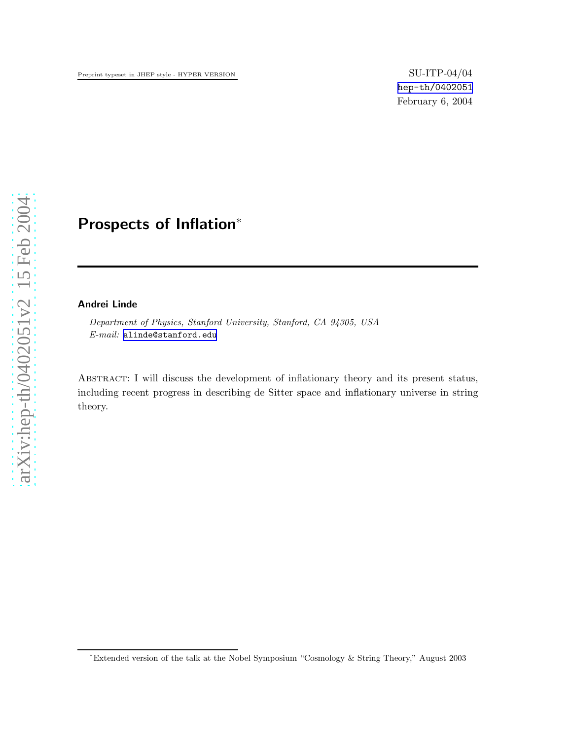# Prospects of Inflation<sup>\*</sup>

# Andrei Linde

*Department of Physics, Stanford University, Stanford, CA 94305, USA E-mail:* [alinde@stanford.edu](mailto:alinde@stanford.edu)

ABSTRACT: I will discuss the development of inflationary theory and its present status, including recent progress in describing de Sitter space and inflationary universe in string theory.

<sup>∗</sup>Extended version of the talk at the Nobel Symposium "Cosmology & String Theory," August 2003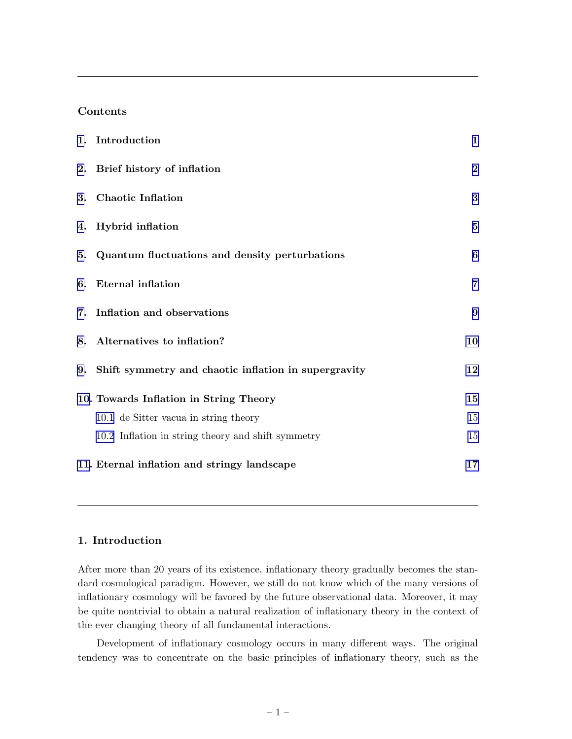# Contents

|    | 1. Introduction                                         | $\mathbf{1}$     |
|----|---------------------------------------------------------|------------------|
|    | 2. Brief history of inflation                           | $\overline{2}$   |
|    | 3. Chaotic Inflation                                    | 3                |
|    | 4. Hybrid inflation                                     | $\mathbf{5}$     |
| 5. | Quantum fluctuations and density perturbations          | $\boldsymbol{6}$ |
|    | 6. Eternal inflation                                    | $\overline{7}$   |
|    | 7. Inflation and observations                           | 9                |
|    | 8. Alternatives to inflation?                           | 10               |
|    | 9. Shift symmetry and chaotic inflation in supergravity | 12               |
|    | 10. Towards Inflation in String Theory                  | 15               |
|    | 10.1 de Sitter vacua in string theory                   | 15               |
|    | 10.2 Inflation in string theory and shift symmetry      | 15               |
|    | 11. Eternal inflation and stringy landscape             | 17               |

# 1. Introduction

After more than 20 years of its existence, inflationary theory gradually becomes the standard cosmological paradigm. However, we still do not know which of the many versions of inflationary cosmology will be favored by the future observational data. Moreover, it may be quite nontrivial to obtain a natural realization of inflationary theory in the context of the ever changing theory of all fundamental interactions.

Development of inflationary cosmology occurs in many different ways. The original tendency was to concentrate on the basic principles of inflationary theory, such as the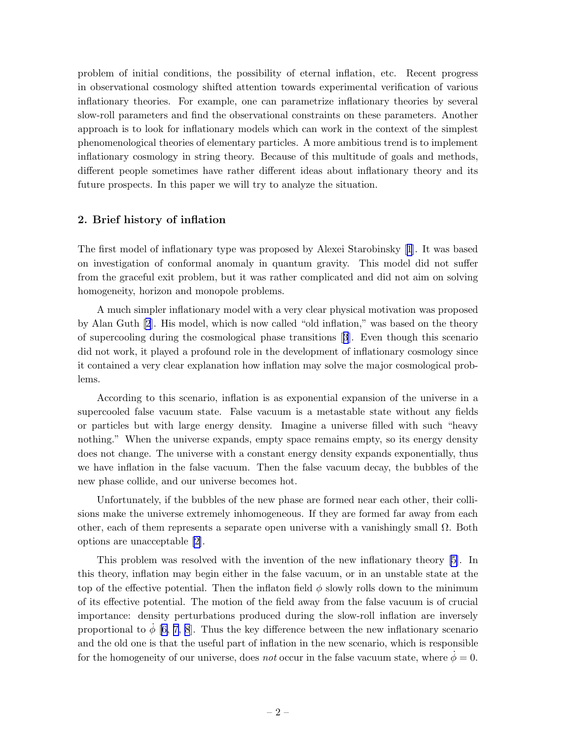<span id="page-2-0"></span>problem of initial conditions, the possibility of eternal inflation, etc. Recent progress in observational cosmology shifted attention towards experimental verification of various inflationary theories. For example, one can parametrize inflationary theories by several slow-roll parameters and find the observational constraints on these parameters. Another approach is to look for inflationary models which can work in the context of the simplest phenomenological theories of elementary particles. A more ambitious trend is to implement inflationary cosmology in string theory. Because of this multitude of goals and methods, different people sometimes have rather different ideas about inflationary theory and its future prospects. In this paper we will try to analyze the situation.

# 2. Brief history of inflation

The first model of inflationary type was proposed by Alexei Starobinsky[[1](#page-19-0)]. It was based on investigation of conformal anomaly in quantum gravity. This model did not suffer from the graceful exit problem, but it was rather complicated and did not aim on solving homogeneity, horizon and monopole problems.

A much simpler inflationary model with a very clear physical motivation was proposed by Alan Guth [\[2](#page-19-0)]. His model, which is now called "old inflation," was based on the theory of supercooling during the cosmological phase transitions [[3](#page-19-0)]. Even though this scenario did not work, it played a profound role in the development of inflationary cosmology since it contained a very clear explanation how inflation may solve the major cosmological problems.

According to this scenario, inflation is as exponential expansion of the universe in a supercooled false vacuum state. False vacuum is a metastable state without any fields or particles but with large energy density. Imagine a universe filled with such "heavy nothing." When the universe expands, empty space remains empty, so its energy density does not change. The universe with a constant energy density expands exponentially, thus we have inflation in the false vacuum. Then the false vacuum decay, the bubbles of the new phase collide, and our universe becomes hot.

Unfortunately, if the bubbles of the new phase are formed near each other, their collisions make the universe extremely inhomogeneous. If they are formed far away from each other, each of them represents a separate open universe with a vanishingly small  $\Omega$ . Both options are unacceptable [\[2\]](#page-19-0).

This problem was resolved with the invention of the new inflationary theory [\[5\]](#page-19-0). In this theory, inflation may begin either in the false vacuum, or in an unstable state at the top of the effective potential. Then the inflaton field  $\phi$  slowly rolls down to the minimum of its effective potential. The motion of the field away from the false vacuum is of crucial importance: density perturbations produced during the slow-roll inflation are inversely proportional to  $\dot{\phi}$  [\[6, 7](#page-19-0), [8](#page-20-0)]. Thus the key difference between the new inflationary scenario and the old one is that the useful part of inflation in the new scenario, which is responsible for the homogeneity of our universe, does *not* occur in the false vacuum state, where  $\dot{\phi} = 0$ .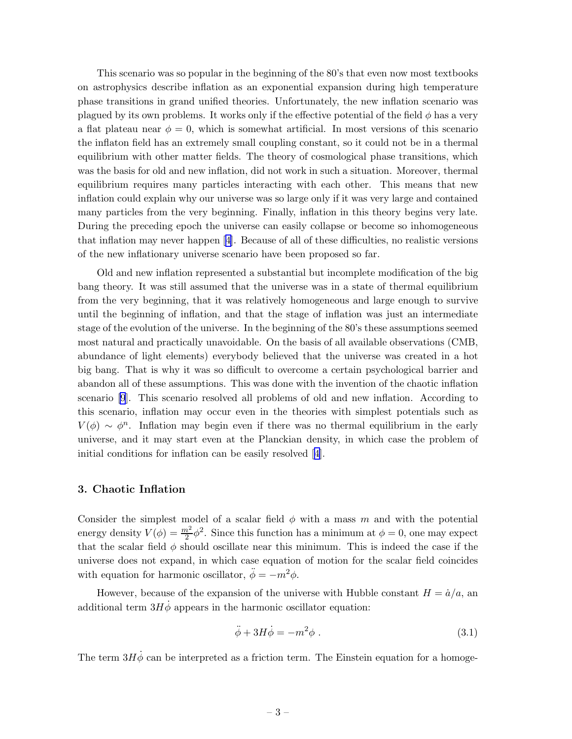<span id="page-3-0"></span>This scenario was so popular in the beginning of the 80's that even now most textbooks on astrophysics describe inflation as an exponential expansion during high temperature phase transitions in grand unified theories. Unfortunately, the new inflation scenario was plagued by its own problems. It works only if the effective potential of the field  $\phi$  has a very a flat plateau near  $\phi = 0$ , which is somewhat artificial. In most versions of this scenario the inflaton field has an extremely small coupling constant, so it could not be in a thermal equilibrium with other matter fields. The theory of cosmological phase transitions, which was the basis for old and new inflation, did not work in such a situation. Moreover, thermal equilibrium requires many particles interacting with each other. This means that new inflation could explain why our universe was so large only if it was very large and contained many particles from the very beginning. Finally, inflation in this theory begins very late. During the preceding epoch the universe can easily collapse or become so inhomogeneous that inflation may never happen[[4](#page-19-0)]. Because of all of these difficulties, no realistic versions of the new inflationary universe scenario have been proposed so far.

Old and new inflation represented a substantial but incomplete modification of the big bang theory. It was still assumed that the universe was in a state of thermal equilibrium from the very beginning, that it was relatively homogeneous and large enough to survive until the beginning of inflation, and that the stage of inflation was just an intermediate stage of the evolution of the universe. In the beginning of the 80's these assumptions seemed most natural and practically unavoidable. On the basis of all available observations (CMB, abundance of light elements) everybody believed that the universe was created in a hot big bang. That is why it was so difficult to overcome a certain psychological barrier and abandon all of these assumptions. This was done with the invention of the chaotic inflation scenario [\[9](#page-20-0)]. This scenario resolved all problems of old and new inflation. According to this scenario, inflation may occur even in the theories with simplest potentials such as  $V(\phi) \sim \phi^n$ . Inflation may begin even if there was no thermal equilibrium in the early universe, and it may start even at the Planckian density, in which case the problem of initial conditions for inflation can be easily resolved[[4](#page-19-0)].

## 3. Chaotic Inflation

Consider the simplest model of a scalar field  $\phi$  with a mass m and with the potential energy density  $V(\phi) = \frac{m^2}{2}\phi^2$ . Since this function has a minimum at  $\phi = 0$ , one may expect that the scalar field  $\phi$  should oscillate near this minimum. This is indeed the case if the universe does not expand, in which case equation of motion for the scalar field coincides with equation for harmonic oscillator,  $\ddot{\phi} = -m^2 \phi$ .

However, because of the expansion of the universe with Hubble constant  $H = \dot{a}/a$ , an additional term  $3H\dot{\phi}$  appears in the harmonic oscillator equation:

$$
\ddot{\phi} + 3H\dot{\phi} = -m^2\phi \tag{3.1}
$$

The term  $3H\dot{\phi}$  can be interpreted as a friction term. The Einstein equation for a homoge-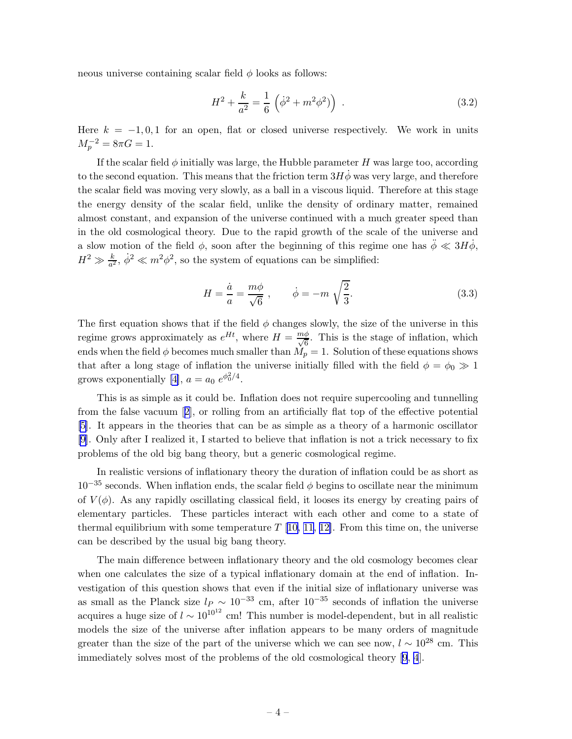<span id="page-4-0"></span>neous universe containing scalar field  $\phi$  looks as follows:

$$
H^{2} + \frac{k}{a^{2}} = \frac{1}{6} \left( \dot{\phi}^{2} + m^{2} \phi^{2} \right) . \tag{3.2}
$$

Here  $k = -1, 0, 1$  for an open, flat or closed universe respectively. We work in units  $M_p^{-2} = 8\pi G = 1.$ 

If the scalar field  $\phi$  initially was large, the Hubble parameter H was large too, according to the second equation. This means that the friction term  $3H\dot{\phi}$  was very large, and therefore the scalar field was moving very slowly, as a ball in a viscous liquid. Therefore at this stage the energy density of the scalar field, unlike the density of ordinary matter, remained almost constant, and expansion of the universe continued with a much greater speed than in the old cosmological theory. Due to the rapid growth of the scale of the universe and a slow motion of the field  $\phi$ , soon after the beginning of this regime one has  $\ddot{\phi} \ll 3H\dot{\phi}$ ,  $H^2 \gg \frac{k}{a^2}$ ,  $\dot{\phi}^2 \ll m^2 \phi^2$ , so the system of equations can be simplified:

$$
H = \frac{\dot{a}}{a} = \frac{m\phi}{\sqrt{6}} , \qquad \dot{\phi} = -m \sqrt{\frac{2}{3}}.
$$
 (3.3)

The first equation shows that if the field  $\phi$  changes slowly, the size of the universe in this regime grows approximately as  $e^{Ht}$ , where  $H = \frac{m\phi}{\sqrt{6}}$ . This is the stage of inflation, which ends when the field  $\phi$  becomes much smaller than  $\tilde{M_p} = 1$ . Solution of these equations shows that after a long stage of inflation the universe initially filled with the field  $\phi = \phi_0 \gg 1$ grows exponentially [\[4\]](#page-19-0),  $a = a_0 e^{\phi_0^2/4}$ .

This is as simple as it could be. Inflation does not require supercooling and tunnelling from the false vacuum[[2\]](#page-19-0), or rolling from an artificially flat top of the effective potential [\[5\]](#page-19-0). It appears in the theories that can be as simple as a theory of a harmonic oscillator [\[9\]](#page-20-0). Only after I realized it, I started to believe that inflation is not a trick necessary to fix problems of the old big bang theory, but a generic cosmological regime.

In realistic versions of inflationary theory the duration of inflation could be as short as  $10^{-35}$  seconds. When inflation ends, the scalar field  $\phi$  begins to oscillate near the minimum of  $V(\phi)$ . As any rapidly oscillating classical field, it looses its energy by creating pairs of elementary particles. These particles interact with each other and come to a state of thermal equilibrium with some temperature  $T$  [[10, 11, 12\]](#page-20-0). From this time on, the universe can be described by the usual big bang theory.

The main difference between inflationary theory and the old cosmology becomes clear when one calculates the size of a typical inflationary domain at the end of inflation. Investigation of this question shows that even if the initial size of inflationary universe was as small as the Planck size  $l_P \sim 10^{-33}$  cm, after  $10^{-35}$  seconds of inflation the universe acquires a huge size of  $l \sim 10^{10^{12}}$  cm! This number is model-dependent, but in all realistic models the size of the universe after inflation appears to be many orders of magnitude greater than the size of the part of the universe which we can see now,  $l \sim 10^{28}$  cm. This immediately solves most of the problems of the old cosmological theory[[9](#page-20-0), [4](#page-19-0)].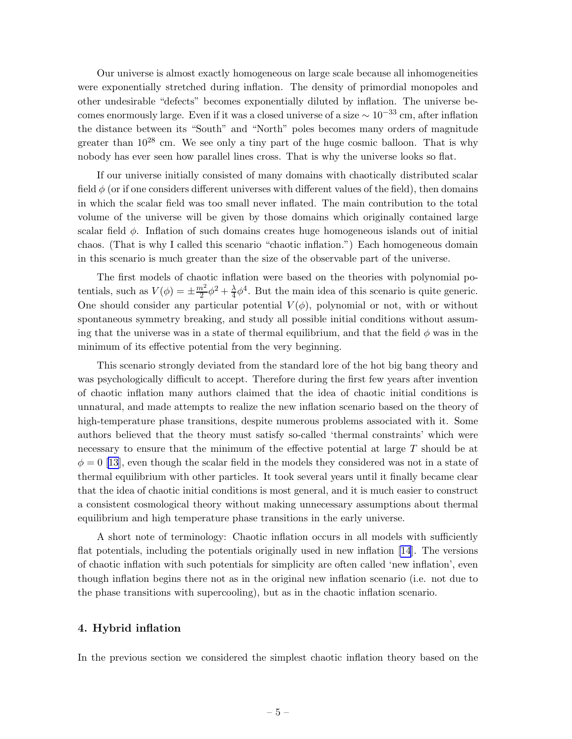<span id="page-5-0"></span>Our universe is almost exactly homogeneous on large scale because all inhomogeneities were exponentially stretched during inflation. The density of primordial monopoles and other undesirable "defects" becomes exponentially diluted by inflation. The universe becomes enormously large. Even if it was a closed universe of a size  $\sim 10^{-33}$  cm, after inflation the distance between its "South" and "North" poles becomes many orders of magnitude greater than  $10^{28}$  cm. We see only a tiny part of the huge cosmic balloon. That is why nobody has ever seen how parallel lines cross. That is why the universe looks so flat.

If our universe initially consisted of many domains with chaotically distributed scalar field  $\phi$  (or if one considers different universes with different values of the field), then domains in which the scalar field was too small never inflated. The main contribution to the total volume of the universe will be given by those domains which originally contained large scalar field  $\phi$ . Inflation of such domains creates huge homogeneous islands out of initial chaos. (That is why I called this scenario "chaotic inflation.") Each homogeneous domain in this scenario is much greater than the size of the observable part of the universe.

The first models of chaotic inflation were based on the theories with polynomial potentials, such as  $V(\phi) = \pm \frac{m^2}{2} \phi^2 + \frac{\lambda}{4} \phi^4$ . But the main idea of this scenario is quite generic. One should consider any particular potential  $V(\phi)$ , polynomial or not, with or without spontaneous symmetry breaking, and study all possible initial conditions without assuming that the universe was in a state of thermal equilibrium, and that the field  $\phi$  was in the minimum of its effective potential from the very beginning.

This scenario strongly deviated from the standard lore of the hot big bang theory and was psychologically difficult to accept. Therefore during the first few years after invention of chaotic inflation many authors claimed that the idea of chaotic initial conditions is unnatural, and made attempts to realize the new inflation scenario based on the theory of high-temperature phase transitions, despite numerous problems associated with it. Some authors believed that the theory must satisfy so-called 'thermal constraints' which were necessary to ensure that the minimum of the effective potential at large T should be at  $\phi = 0$  [\[13](#page-20-0)], even though the scalar field in the models they considered was not in a state of thermal equilibrium with other particles. It took several years until it finally became clear that the idea of chaotic initial conditions is most general, and it is much easier to construct a consistent cosmological theory without making unnecessary assumptions about thermal equilibrium and high temperature phase transitions in the early universe.

A short note of terminology: Chaotic inflation occurs in all models with sufficiently flat potentials, including the potentials originally used in new inflation [\[14](#page-20-0)]. The versions of chaotic inflation with such potentials for simplicity are often called 'new inflation', even though inflation begins there not as in the original new inflation scenario (i.e. not due to the phase transitions with supercooling), but as in the chaotic inflation scenario.

## 4. Hybrid inflation

In the previous section we considered the simplest chaotic inflation theory based on the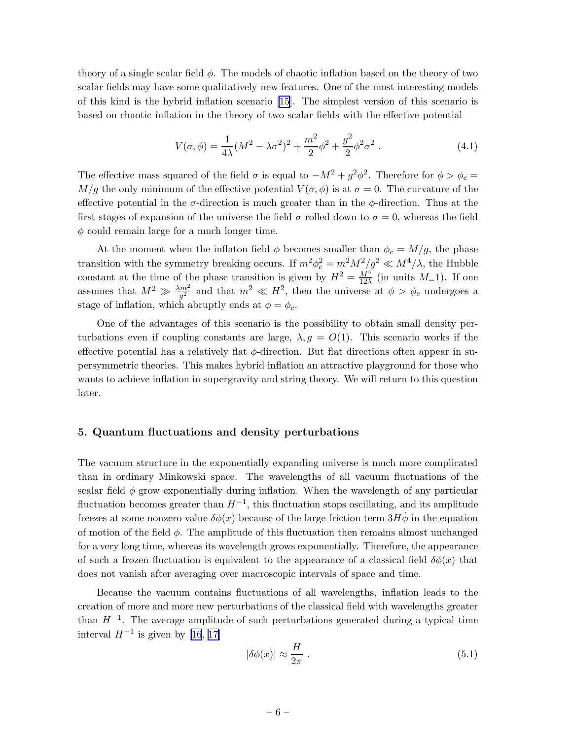<span id="page-6-0"></span>theory of a single scalar field  $\phi$ . The models of chaotic inflation based on the theory of two scalar fields may have some qualitatively new features. One of the most interesting models of this kind is the hybrid inflation scenario [\[15](#page-20-0)]. The simplest version of this scenario is based on chaotic inflation in the theory of two scalar fields with the effective potential

$$
V(\sigma, \phi) = \frac{1}{4\lambda} (M^2 - \lambda \sigma^2)^2 + \frac{m^2}{2} \phi^2 + \frac{g^2}{2} \phi^2 \sigma^2.
$$
 (4.1)

The effective mass squared of the field  $\sigma$  is equal to  $-M^2 + g^2 \phi^2$ . Therefore for  $\phi > \phi_c =$ M/g the only minimum of the effective potential  $V(\sigma, \phi)$  is at  $\sigma = 0$ . The curvature of the effective potential in the  $\sigma$ -direction is much greater than in the  $\phi$ -direction. Thus at the first stages of expansion of the universe the field  $\sigma$  rolled down to  $\sigma = 0$ , whereas the field  $\phi$  could remain large for a much longer time.

At the moment when the inflaton field  $\phi$  becomes smaller than  $\phi_c = M/g$ , the phase transition with the symmetry breaking occurs. If  $m^2 \phi_c^2 = m^2 M^2/g^2 \ll M^4/\lambda$ , the Hubble constant at the time of the phase transition is given by  $H^2 = \frac{M^4}{12\lambda}$  $\frac{M^4}{12\lambda}$  (in units  $M=1$ ). If one assumes that  $M^2 \gg \frac{\lambda m^2}{g^2}$  and that  $m^2 \ll H^2$ , then the universe at  $\phi > \phi_c$  undergoes a stage of inflation, which abruptly ends at  $\phi = \phi_c$ .

One of the advantages of this scenario is the possibility to obtain small density perturbations even if coupling constants are large,  $\lambda$ ,  $g = O(1)$ . This scenario works if the effective potential has a relatively flat  $\phi$ -direction. But flat directions often appear in supersymmetric theories. This makes hybrid inflation an attractive playground for those who wants to achieve inflation in supergravity and string theory. We will return to this question later.

# 5. Quantum fluctuations and density perturbations

The vacuum structure in the exponentially expanding universe is much more complicated than in ordinary Minkowski space. The wavelengths of all vacuum fluctuations of the scalar field  $\phi$  grow exponentially during inflation. When the wavelength of any particular fluctuation becomes greater than  $H^{-1}$ , this fluctuation stops oscillating, and its amplitude freezes at some nonzero value  $\delta\phi(x)$  because of the large friction term  $3H\dot{\phi}$  in the equation of motion of the field  $\phi$ . The amplitude of this fluctuation then remains almost unchanged for a very long time, whereas its wavelength grows exponentially. Therefore, the appearance of such a frozen fluctuation is equivalent to the appearance of a classical field  $\delta\phi(x)$  that does not vanish after averaging over macroscopic intervals of space and time.

Because the vacuum contains fluctuations of all wavelengths, inflation leads to the creation of more and more new perturbations of the classical field with wavelengths greater than  $H^{-1}$ . The average amplitude of such perturbations generated during a typical time interval  $H^{-1}$  is given by [\[16](#page-20-0), [17\]](#page-20-0)

$$
|\delta\phi(x)| \approx \frac{H}{2\pi} \ . \tag{5.1}
$$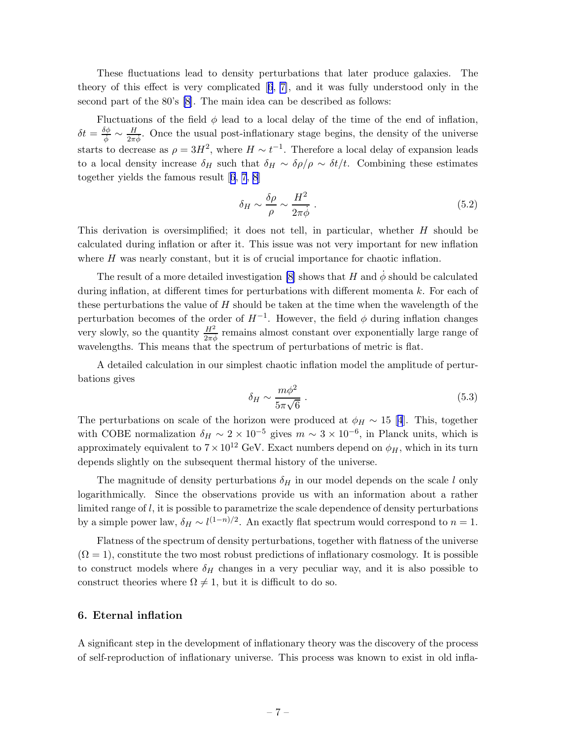<span id="page-7-0"></span>These fluctuations lead to density perturbations that later produce galaxies. The theory of this effect is very complicated[[6](#page-19-0), [7\]](#page-19-0), and it was fully understood only in the second part of the 80's [\[8\]](#page-20-0). The main idea can be described as follows:

Fluctuations of the field  $\phi$  lead to a local delay of the time of the end of inflation,  $\delta t = \frac{\delta \phi}{\dot{\phi}} \sim \frac{H}{2\pi \dot{\phi}}$ . Once the usual post-inflationary stage begins, the density of the universe starts to decrease as  $\rho = 3H^2$ , where  $H \sim t^{-1}$ . Therefore a local delay of expansion leads to a local density increase  $\delta_H$  such that  $\delta_H \sim \delta \rho / \rho \sim \delta t / t$ . Combining these estimates together yields the famous result[[6](#page-19-0), [7](#page-19-0), [8](#page-20-0)]

$$
\delta_H \sim \frac{\delta \rho}{\rho} \sim \frac{H^2}{2\pi \dot{\phi}} \,. \tag{5.2}
$$

This derivation is oversimplified; it does not tell, in particular, whether  $H$  should be calculated during inflation or after it. This issue was not very important for new inflation where  $H$  was nearly constant, but it is of crucial importance for chaotic inflation.

The result of a more detailed investigation [\[8\]](#page-20-0) shows that H and  $\phi$  should be calculated during inflation, at different times for perturbations with different momenta k. For each of these perturbations the value of  $H$  should be taken at the time when the wavelength of the perturbation becomes of the order of  $H^{-1}$ . However, the field  $\phi$  during inflation changes very slowly, so the quantity  $\frac{H^2}{2\pi\phi}$  remains almost constant over exponentially large range of wavelengths. This means that the spectrum of perturbations of metric is flat.

A detailed calculation in our simplest chaotic inflation model the amplitude of perturbations gives

$$
\delta_H \sim \frac{m\phi^2}{5\pi\sqrt{6}}\,. \tag{5.3}
$$

Theperturbations on scale of the horizon were produced at  $\phi_H \sim 15$  [[4](#page-19-0)]. This, together with COBE normalization  $\delta_H \sim 2 \times 10^{-5}$  gives  $m \sim 3 \times 10^{-6}$ , in Planck units, which is approximately equivalent to  $7 \times 10^{12}$  GeV. Exact numbers depend on  $\phi_H$ , which in its turn depends slightly on the subsequent thermal history of the universe.

The magnitude of density perturbations  $\delta_H$  in our model depends on the scale l only logarithmically. Since the observations provide us with an information about a rather limited range of  $l$ , it is possible to parametrize the scale dependence of density perturbations by a simple power law,  $\delta_H \sim l^{(1-n)/2}$ . An exactly flat spectrum would correspond to  $n = 1$ .

Flatness of the spectrum of density perturbations, together with flatness of the universe  $(\Omega = 1)$ , constitute the two most robust predictions of inflationary cosmology. It is possible to construct models where  $\delta_H$  changes in a very peculiar way, and it is also possible to construct theories where  $\Omega \neq 1$ , but it is difficult to do so.

# 6. Eternal inflation

A significant step in the development of inflationary theory was the discovery of the process of self-reproduction of inflationary universe. This process was known to exist in old infla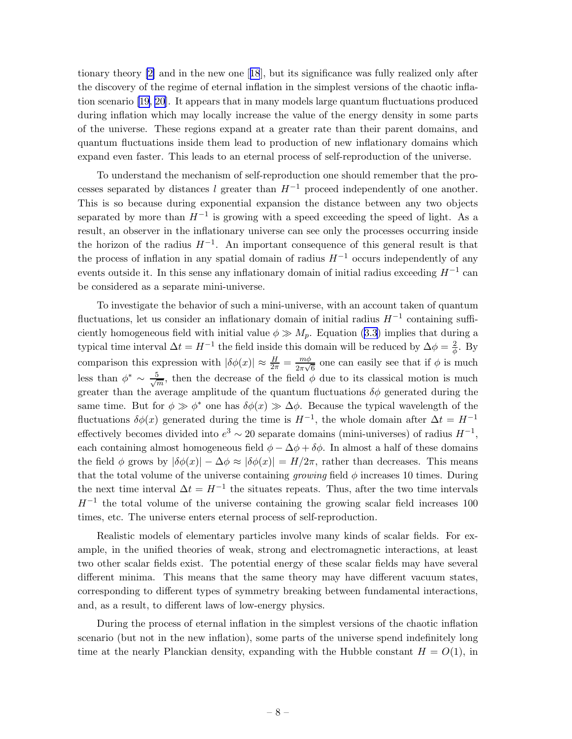tionary theory [\[2\]](#page-19-0) and in the new one[[18](#page-20-0)], but its significance was fully realized only after the discovery of the regime of eternal inflation in the simplest versions of the chaotic inflation scenario [\[19](#page-20-0), [20\]](#page-20-0). It appears that in many models large quantum fluctuations produced during inflation which may locally increase the value of the energy density in some parts of the universe. These regions expand at a greater rate than their parent domains, and quantum fluctuations inside them lead to production of new inflationary domains which expand even faster. This leads to an eternal process of self-reproduction of the universe.

To understand the mechanism of self-reproduction one should remember that the processes separated by distances l greater than  $H^{-1}$  proceed independently of one another. This is so because during exponential expansion the distance between any two objects separated by more than  $H^{-1}$  is growing with a speed exceeding the speed of light. As a result, an observer in the inflationary universe can see only the processes occurring inside the horizon of the radius  $H^{-1}$ . An important consequence of this general result is that the process of inflation in any spatial domain of radius  $H^{-1}$  occurs independently of any events outside it. In this sense any inflationary domain of initial radius exceeding  $H^{-1}$  can be considered as a separate mini-universe.

To investigate the behavior of such a mini-universe, with an account taken of quantum fluctuations, let us consider an inflationary domain of initial radius  $H^{-1}$  containing sufficiently homogeneous field with initial value  $\phi \gg M_p$ . Equation [\(3.3\)](#page-4-0) implies that during a typical time interval  $\Delta t = H^{-1}$  the field inside this domain will be reduced by  $\Delta \phi = \frac{2}{\phi}$ . By φ comparison this expression with  $|\delta\phi(x)| \approx \frac{H}{2\pi} = \frac{m\phi}{2\pi\sqrt{}}$  $\frac{m\phi}{2\pi\sqrt{6}}$  one can easily see that if  $\phi$  is much less than  $\phi^* \sim \frac{5}{\sqrt{7}}$  $\frac{\partial}{\partial m}$ , then the decrease of the field  $\phi$  due to its classical motion is much greater than the average amplitude of the quantum fluctuations  $\delta\phi$  generated during the same time. But for  $\phi \gg \phi^*$  one has  $\delta\phi(x) \gg \Delta\phi$ . Because the typical wavelength of the fluctuations  $\delta\phi(x)$  generated during the time is  $H^{-1}$ , the whole domain after  $\Delta t = H^{-1}$ effectively becomes divided into  $e^3 \sim 20$  separate domains (mini-universes) of radius  $H^{-1}$ , each containing almost homogeneous field  $\phi - \Delta \phi + \delta \phi$ . In almost a half of these domains the field  $\phi$  grows by  $|\delta\phi(x)| - \Delta\phi \approx |\delta\phi(x)| = H/2\pi$ , rather than decreases. This means that the total volume of the universe containing *growing* field  $\phi$  increases 10 times. During the next time interval  $\Delta t = H^{-1}$  the situates repeats. Thus, after the two time intervals  $H^{-1}$  the total volume of the universe containing the growing scalar field increases 100 times, etc. The universe enters eternal process of self-reproduction.

Realistic models of elementary particles involve many kinds of scalar fields. For example, in the unified theories of weak, strong and electromagnetic interactions, at least two other scalar fields exist. The potential energy of these scalar fields may have several different minima. This means that the same theory may have different vacuum states, corresponding to different types of symmetry breaking between fundamental interactions, and, as a result, to different laws of low-energy physics.

During the process of eternal inflation in the simplest versions of the chaotic inflation scenario (but not in the new inflation), some parts of the universe spend indefinitely long time at the nearly Planckian density, expanding with the Hubble constant  $H = O(1)$ , in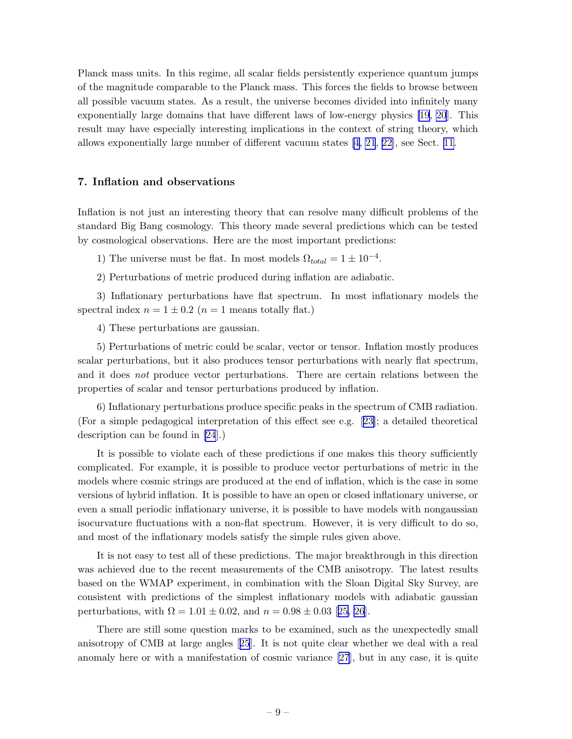<span id="page-9-0"></span>Planck mass units. In this regime, all scalar fields persistently experience quantum jumps of the magnitude comparable to the Planck mass. This forces the fields to browse between all possible vacuum states. As a result, the universe becomes divided into infinitely many exponentially large domains that have different laws of low-energy physics [\[19](#page-20-0), [20](#page-20-0)]. This result may have especially interesting implications in the context of string theory, which allows exponentially large number of different vacuum states [\[4,](#page-19-0) [21](#page-20-0), [22](#page-21-0)], see Sect. [11.](#page-17-0)

#### 7. Inflation and observations

Inflation is not just an interesting theory that can resolve many difficult problems of the standard Big Bang cosmology. This theory made several predictions which can be tested by cosmological observations. Here are the most important predictions:

1) The universe must be flat. In most models  $\Omega_{total} = 1 \pm 10^{-4}$ .

2) Perturbations of metric produced during inflation are adiabatic.

3) Inflationary perturbations have flat spectrum. In most inflationary models the spectral index  $n = 1 \pm 0.2$  ( $n = 1$  means totally flat.)

4) These perturbations are gaussian.

5) Perturbations of metric could be scalar, vector or tensor. Inflation mostly produces scalar perturbations, but it also produces tensor perturbations with nearly flat spectrum, and it does *not* produce vector perturbations. There are certain relations between the properties of scalar and tensor perturbations produced by inflation.

6) Inflationary perturbations produce specific peaks in the spectrum of CMB radiation. (For a simple pedagogical interpretation of this effect see e.g.[[23\]](#page-21-0); a detailed theoretical description can be found in [\[24](#page-21-0)].)

It is possible to violate each of these predictions if one makes this theory sufficiently complicated. For example, it is possible to produce vector perturbations of metric in the models where cosmic strings are produced at the end of inflation, which is the case in some versions of hybrid inflation. It is possible to have an open or closed inflationary universe, or even a small periodic inflationary universe, it is possible to have models with nongaussian isocurvature fluctuations with a non-flat spectrum. However, it is very difficult to do so, and most of the inflationary models satisfy the simple rules given above.

It is not easy to test all of these predictions. The major breakthrough in this direction was achieved due to the recent measurements of the CMB anisotropy. The latest results based on the WMAP experiment, in combination with the Sloan Digital Sky Survey, are consistent with predictions of the simplest inflationary models with adiabatic gaussian perturbations,with  $\Omega = 1.01 \pm 0.02$ , and  $n = 0.98 \pm 0.03$  [[25, 26](#page-21-0)].

There are still some question marks to be examined, such as the unexpectedly small anisotropy of CMB at large angles[[25](#page-21-0)]. It is not quite clear whether we deal with a real anomaly here or with a manifestation of cosmic variance [\[27](#page-21-0)], but in any case, it is quite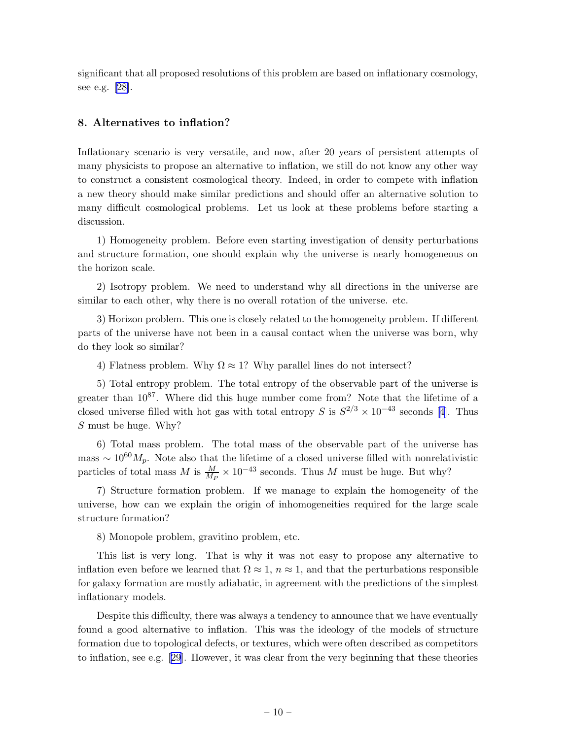<span id="page-10-0"></span>significant that all proposed resolutions of this problem are based on inflationary cosmology, see e.g. [\[28](#page-21-0)].

# 8. Alternatives to inflation?

Inflationary scenario is very versatile, and now, after 20 years of persistent attempts of many physicists to propose an alternative to inflation, we still do not know any other way to construct a consistent cosmological theory. Indeed, in order to compete with inflation a new theory should make similar predictions and should offer an alternative solution to many difficult cosmological problems. Let us look at these problems before starting a discussion.

1) Homogeneity problem. Before even starting investigation of density perturbations and structure formation, one should explain why the universe is nearly homogeneous on the horizon scale.

2) Isotropy problem. We need to understand why all directions in the universe are similar to each other, why there is no overall rotation of the universe. etc.

3) Horizon problem. This one is closely related to the homogeneity problem. If different parts of the universe have not been in a causal contact when the universe was born, why do they look so similar?

4) Flatness problem. Why  $\Omega \approx 1$ ? Why parallel lines do not intersect?

5) Total entropy problem. The total entropy of the observable part of the universe is greater than  $10^{87}$ . Where did this huge number come from? Note that the lifetime of a closeduniverse filled with hot gas with total entropy S is  $S^{2/3} \times 10^{-43}$  $S^{2/3} \times 10^{-43}$  $S^{2/3} \times 10^{-43}$  seconds [4]. Thus S must be huge. Why?

6) Total mass problem. The total mass of the observable part of the universe has mass  $\sim 10^{60} M_p$ . Note also that the lifetime of a closed universe filled with nonrelativistic particles of total mass M is  $\frac{M}{M_P} \times 10^{-43}$  seconds. Thus M must be huge. But why?

7) Structure formation problem. If we manage to explain the homogeneity of the universe, how can we explain the origin of inhomogeneities required for the large scale structure formation?

8) Monopole problem, gravitino problem, etc.

This list is very long. That is why it was not easy to propose any alternative to inflation even before we learned that  $\Omega \approx 1$ ,  $n \approx 1$ , and that the perturbations responsible for galaxy formation are mostly adiabatic, in agreement with the predictions of the simplest inflationary models.

Despite this difficulty, there was always a tendency to announce that we have eventually found a good alternative to inflation. This was the ideology of the models of structure formation due to topological defects, or textures, which were often described as competitors to inflation, see e.g. [\[29\]](#page-21-0). However, it was clear from the very beginning that these theories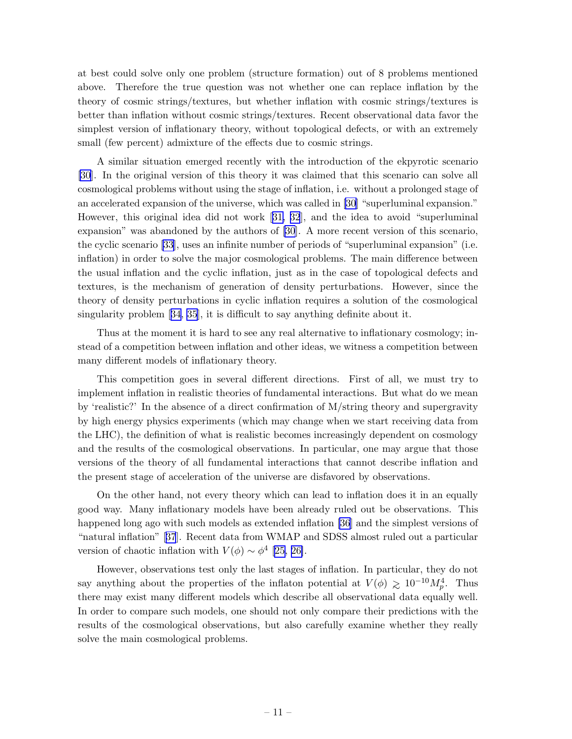at best could solve only one problem (structure formation) out of 8 problems mentioned above. Therefore the true question was not whether one can replace inflation by the theory of cosmic strings/textures, but whether inflation with cosmic strings/textures is better than inflation without cosmic strings/textures. Recent observational data favor the simplest version of inflationary theory, without topological defects, or with an extremely small (few percent) admixture of the effects due to cosmic strings.

A similar situation emerged recently with the introduction of the ekpyrotic scenario [\[30](#page-21-0)]. In the original version of this theory it was claimed that this scenario can solve all cosmological problems without using the stage of inflation, i.e. without a prolonged stage of an accelerated expansion of the universe, which was called in [\[30](#page-21-0)] "superluminal expansion." However, this original idea did not work[[31, 32](#page-21-0)], and the idea to avoid "superluminal expansion" was abandoned by the authors of [\[30](#page-21-0)]. A more recent version of this scenario, the cyclic scenario[[33\]](#page-21-0), uses an infinite number of periods of "superluminal expansion" (i.e. inflation) in order to solve the major cosmological problems. The main difference between the usual inflation and the cyclic inflation, just as in the case of topological defects and textures, is the mechanism of generation of density perturbations. However, since the theory of density perturbations in cyclic inflation requires a solution of the cosmological singularity problem[[34, 35](#page-21-0)], it is difficult to say anything definite about it.

Thus at the moment it is hard to see any real alternative to inflationary cosmology; instead of a competition between inflation and other ideas, we witness a competition between many different models of inflationary theory.

This competition goes in several different directions. First of all, we must try to implement inflation in realistic theories of fundamental interactions. But what do we mean by 'realistic?' In the absence of a direct confirmation of M/string theory and supergravity by high energy physics experiments (which may change when we start receiving data from the LHC), the definition of what is realistic becomes increasingly dependent on cosmology and the results of the cosmological observations. In particular, one may argue that those versions of the theory of all fundamental interactions that cannot describe inflation and the present stage of acceleration of the universe are disfavored by observations.

On the other hand, not every theory which can lead to inflation does it in an equally good way. Many inflationary models have been already ruled out be observations. This happened long ago with such models as extended inflation [\[36](#page-21-0)] and the simplest versions of "natural inflation"[[37](#page-21-0)]. Recent data from WMAP and SDSS almost ruled out a particular version of chaotic inflation with  $V(\phi) \sim \phi^4$  [\[25](#page-21-0), [26\]](#page-21-0).

However, observations test only the last stages of inflation. In particular, they do not say anything about the properties of the inflaton potential at  $V(\phi) \geq 10^{-10} M_p^4$ . Thus there may exist many different models which describe all observational data equally well. In order to compare such models, one should not only compare their predictions with the results of the cosmological observations, but also carefully examine whether they really solve the main cosmological problems.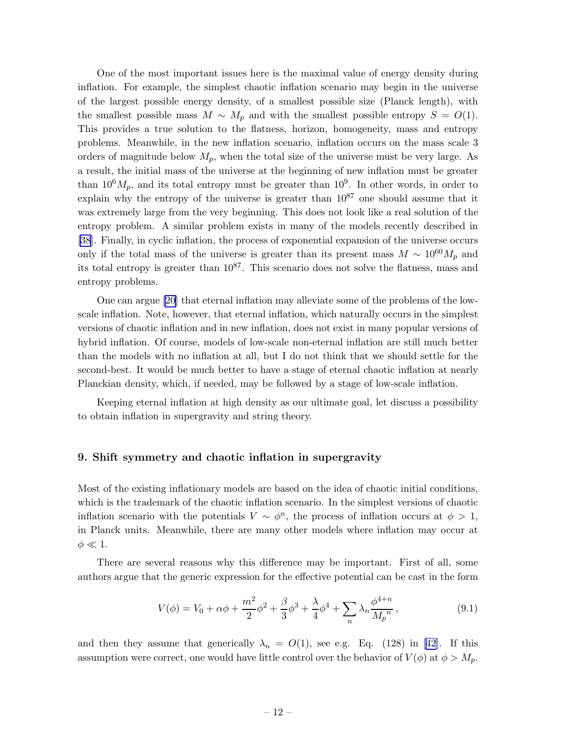<span id="page-12-0"></span>One of the most important issues here is the maximal value of energy density during inflation. For example, the simplest chaotic inflation scenario may begin in the universe of the largest possible energy density, of a smallest possible size (Planck length), with the smallest possible mass  $M \sim M_p$  and with the smallest possible entropy  $S = O(1)$ . This provides a true solution to the flatness, horizon, homogeneity, mass and entropy problems. Meanwhile, in the new inflation scenario, inflation occurs on the mass scale 3 orders of magnitude below  $M_p$ , when the total size of the universe must be very large. As a result, the initial mass of the universe at the beginning of new inflation must be greater than  $10^6 M_p$ , and its total entropy must be greater than  $10^9$ . In other words, in order to explain why the entropy of the universe is greater than  $10^{87}$  one should assume that it was extremely large from the very beginning. This does not look like a real solution of the entropy problem. A similar problem exists in many of the models recently described in [\[38](#page-21-0)]. Finally, in cyclic inflation, the process of exponential expansion of the universe occurs only if the total mass of the universe is greater than its present mass  $M \sim 10^{60} M_p$  and its total entropy is greater than  $10^{87}$ . This scenario does not solve the flatness, mass and entropy problems.

One can argue [\[20](#page-20-0)] that eternal inflation may alleviate some of the problems of the lowscale inflation. Note, however, that eternal inflation, which naturally occurs in the simplest versions of chaotic inflation and in new inflation, does not exist in many popular versions of hybrid inflation. Of course, models of low-scale non-eternal inflation are still much better than the models with no inflation at all, but I do not think that we should settle for the second-best. It would be much better to have a stage of eternal chaotic inflation at nearly Planckian density, which, if needed, may be followed by a stage of low-scale inflation.

Keeping eternal inflation at high density as our ultimate goal, let discuss a possibility to obtain inflation in supergravity and string theory.

#### 9. Shift symmetry and chaotic inflation in supergravity

Most of the existing inflationary models are based on the idea of chaotic initial conditions, which is the trademark of the chaotic inflation scenario. In the simplest versions of chaotic inflation scenario with the potentials  $V \sim \phi^n$ , the process of inflation occurs at  $\phi > 1$ , in Planck units. Meanwhile, there are many other models where inflation may occur at  $\phi \ll 1$ .

There are several reasons why this difference may be important. First of all, some authors argue that the generic expression for the effective potential can be cast in the form

$$
V(\phi) = V_0 + \alpha \phi + \frac{m^2}{2} \phi^2 + \frac{\beta}{3} \phi^3 + \frac{\lambda}{4} \phi^4 + \sum_n \lambda_n \frac{\phi^{4+n}}{M_p^n},
$$
\n(9.1)

and then they assume that generically  $\lambda_n = O(1)$ , see e.g. Eq. (128) in [\[42](#page-22-0)]. If this assumption were correct, one would have little control over the behavior of  $V(\phi)$  at  $\phi > M_p$ .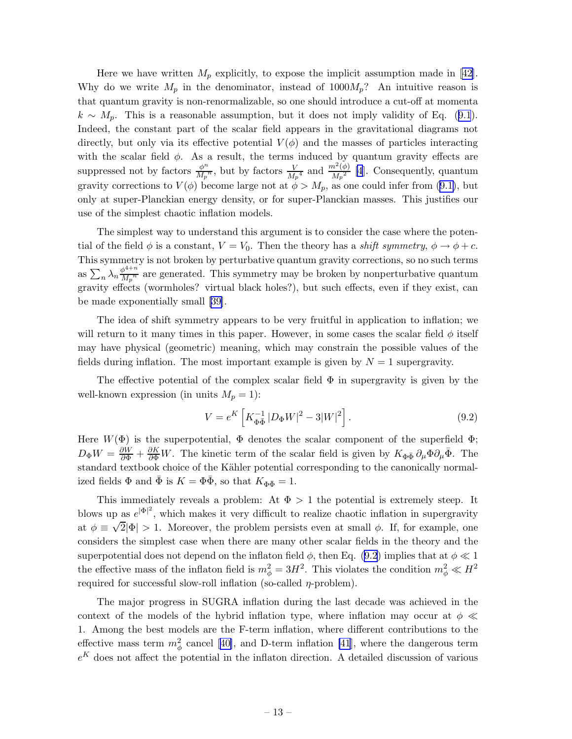<span id="page-13-0"></span>Herewe have written  $M_p$  explicitly, to expose the implicit assumption made in [[42\]](#page-22-0). Why do we write  $M_p$  in the denominator, instead of  $1000M_p$ ? An intuitive reason is that quantum gravity is non-renormalizable, so one should introduce a cut-off at momenta  $k \sim M_p$ . This is a reasonable assumption, but it does not imply validity of Eq. ([9.1](#page-12-0)). Indeed, the constant part of the scalar field appears in the gravitational diagrams not directly, but only via its effective potential  $V(\phi)$  and the masses of particles interacting with the scalar field  $\phi$ . As a result, the terms induced by quantum gravity effects are suppressed not by factors  $\frac{\phi^n}{M}$  $\frac{\phi^n}{M_p^n}$ , but by factors  $\frac{V}{M_p^4}$  and  $\frac{m^2(\phi)}{M_p^2}$  $\frac{h'(\varphi)}{M_p^2}$  [[4](#page-19-0)]. Consequently, quantum gravity corrections to  $V(\phi)$  become large not at  $\phi > M_p$ , as one could infer from [\(9.1\)](#page-12-0), but only at super-Planckian energy density, or for super-Planckian masses. This justifies our use of the simplest chaotic inflation models.

The simplest way to understand this argument is to consider the case where the potential of the field  $\phi$  is a constant,  $V = V_0$ . Then the theory has a *shift symmetry*,  $\phi \to \phi + c$ . This symmetry is not broken by perturbative quantum gravity corrections, so no such terms as  $\sum_n \lambda_n \frac{\phi^{4+n}}{M_p{}^n}$  $\frac{\phi^{1}}{M_p}$  are generated. This symmetry may be broken by nonperturbative quantum gravity effects (wormholes? virtual black holes?), but such effects, even if they exist, can be made exponentially small [\[39](#page-21-0)].

The idea of shift symmetry appears to be very fruitful in application to inflation; we will return to it many times in this paper. However, in some cases the scalar field  $\phi$  itself may have physical (geometric) meaning, which may constrain the possible values of the fields during inflation. The most important example is given by  $N = 1$  supergravity.

The effective potential of the complex scalar field  $\Phi$  in supergravity is given by the well-known expression (in units  $M_p = 1$ ):

$$
V = e^{K} \left[ K_{\Phi \bar{\Phi}}^{-1} |D_{\Phi} W|^{2} - 3|W|^{2} \right].
$$
 (9.2)

Here  $W(\Phi)$  is the superpotential,  $\Phi$  denotes the scalar component of the superfield  $\Phi$ ;  $D_{\Phi}W = \frac{\partial W}{\partial \Phi} + \frac{\partial K}{\partial \Phi}W$ . The kinetic term of the scalar field is given by  $K_{\Phi\bar{\Phi}}\partial_{\mu}\Phi\partial_{\mu}\bar{\Phi}$ . The standard textbook choice of the Kähler potential corresponding to the canonically normalized fields  $\Phi$  and  $\bar{\Phi}$  is  $K = \Phi \bar{\Phi}$ , so that  $K_{\Phi \bar{\Phi}} = 1$ .

This immediately reveals a problem: At  $\Phi > 1$  the potential is extremely steep. It blows up as  $e^{|\Phi|^2}$ , which makes it very difficult to realize chaotic inflation in supergravity at  $\phi \equiv \sqrt{2}|\Phi| > 1$ . Moreover, the problem persists even at small  $\phi$ . If, for example, one considers the simplest case when there are many other scalar fields in the theory and the superpotential does not depend on the inflaton field  $\phi$ , then Eq. (9.2) implies that at  $\phi \ll 1$ the effective mass of the inflaton field is  $m_{\phi}^2 = 3H^2$ . This violates the condition  $m_{\phi}^2 \ll H^2$ required for successful slow-roll inflation (so-called  $\eta$ -problem).

The major progress in SUGRA inflation during the last decade was achieved in the context of the models of the hybrid inflation type, where inflation may occur at  $\phi \ll$ 1. Among the best models are the F-term inflation, where different contributions to the effectivemass term  $m_{\phi}^2$  cancel [[40\]](#page-22-0), and D-term inflation [\[41](#page-22-0)], where the dangerous term  $e^{K}$  does not affect the potential in the inflaton direction. A detailed discussion of various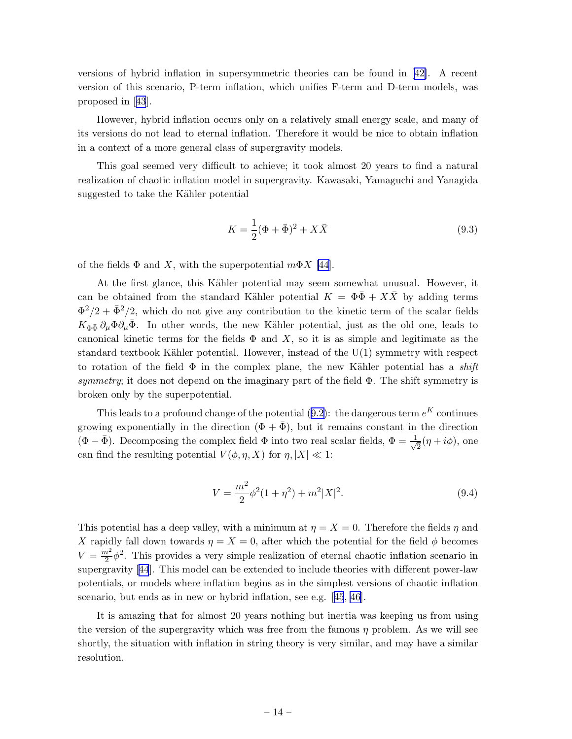versions of hybrid inflation in supersymmetric theories can be found in[[42\]](#page-22-0). A recent version of this scenario, P-term inflation, which unifies F-term and D-term models, was proposed in[[43](#page-22-0)].

However, hybrid inflation occurs only on a relatively small energy scale, and many of its versions do not lead to eternal inflation. Therefore it would be nice to obtain inflation in a context of a more general class of supergravity models.

This goal seemed very difficult to achieve; it took almost 20 years to find a natural realization of chaotic inflation model in supergravity. Kawasaki, Yamaguchi and Yanagida suggested to take the Kähler potential

$$
K = \frac{1}{2}(\Phi + \bar{\Phi})^2 + X\bar{X}
$$
\n(9.3)

of the fields  $\Phi$  and X, with the superpotential  $m\Phi X$  [\[44](#page-22-0)].

At the first glance, this Kähler potential may seem somewhat unusual. However, it can be obtained from the standard Kähler potential  $K = \Phi \bar{\Phi} + X\bar{X}$  by adding terms  $\Phi^2/2 + \bar{\Phi}^2/2$ , which do not give any contribution to the kinetic term of the scalar fields  $K_{\Phi\bar{\Phi}}\partial_{\mu}\Phi\partial_{\mu}\bar{\Phi}$ . In other words, the new Kähler potential, just as the old one, leads to canonical kinetic terms for the fields  $\Phi$  and X, so it is as simple and legitimate as the standard textbook Kähler potential. However, instead of the  $U(1)$  symmetry with respect to rotation of the field Φ in the complex plane, the new K¨ahler potential has a *shift symmetry*; it does not depend on the imaginary part of the field Φ. The shift symmetry is broken only by the superpotential.

This leads to a profound change of the potential  $(9.2)$  $(9.2)$ : the dangerous term  $e^{K}$  continues growing exponentially in the direction  $(\Phi + \bar{\Phi})$ , but it remains constant in the direction  $(\Phi - \bar{\Phi})$ . Decomposing the complex field  $\Phi$  into two real scalar fields,  $\Phi = \frac{1}{\sqrt{2\pi}}$  $\frac{1}{2}(\eta + i\phi)$ , one can find the resulting potential  $V(\phi, \eta, X)$  for  $\eta, |X| \ll 1$ :

$$
V = \frac{m^2}{2}\phi^2(1+\eta^2) + m^2|X|^2.
$$
\n(9.4)

This potential has a deep valley, with a minimum at  $\eta = X = 0$ . Therefore the fields  $\eta$  and X rapidly fall down towards  $\eta = X = 0$ , after which the potential for the field  $\phi$  becomes  $V=\frac{m^2}{2}$  $\frac{m^2}{2}\phi^2$ . This provides a very simple realization of eternal chaotic inflation scenario in supergravity[[44](#page-22-0)]. This model can be extended to include theories with different power-law potentials, or models where inflation begins as in the simplest versions of chaotic inflation scenario, but ends as in new or hybrid inflation, see e.g.[[45](#page-22-0), [46](#page-22-0)].

It is amazing that for almost 20 years nothing but inertia was keeping us from using the version of the supergravity which was free from the famous  $\eta$  problem. As we will see shortly, the situation with inflation in string theory is very similar, and may have a similar resolution.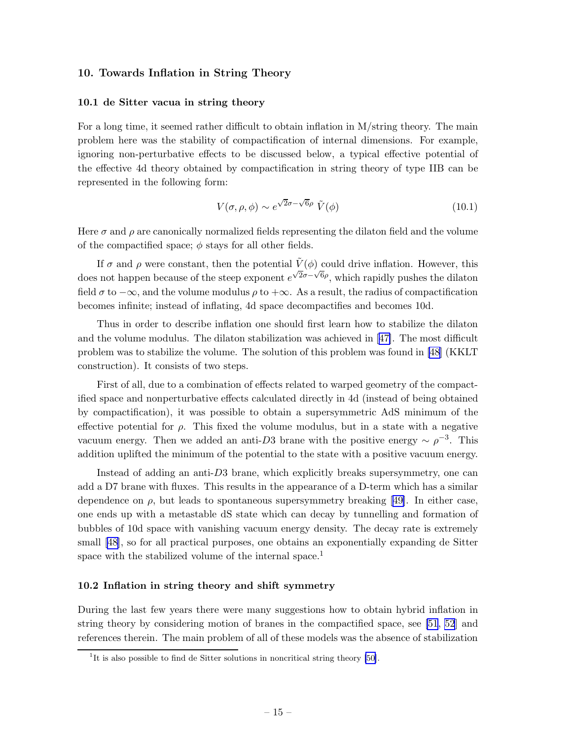# <span id="page-15-0"></span>10. Towards Inflation in String Theory

#### 10.1 de Sitter vacua in string theory

For a long time, it seemed rather difficult to obtain inflation in M/string theory. The main problem here was the stability of compactification of internal dimensions. For example, ignoring non-perturbative effects to be discussed below, a typical effective potential of the effective 4d theory obtained by compactification in string theory of type IIB can be represented in the following form:

$$
V(\sigma,\rho,\phi) \sim e^{\sqrt{2}\sigma - \sqrt{6}\rho} \tilde{V}(\phi)
$$
 (10.1)

Here  $\sigma$  and  $\rho$  are canonically normalized fields representing the dilaton field and the volume of the compactified space;  $\phi$  stays for all other fields.

If  $\sigma$  and  $\rho$  were constant, then the potential  $\tilde{V}(\phi)$  could drive inflation. However, this does not happen because of the steep exponent  $e^{\sqrt{2}\sigma-\sqrt{6}\rho}$ , which rapidly pushes the dilaton field  $\sigma$  to  $-\infty$ , and the volume modulus  $\rho$  to  $+\infty$ . As a result, the radius of compactification becomes infinite; instead of inflating, 4d space decompactifies and becomes 10d.

Thus in order to describe inflation one should first learn how to stabilize the dilaton and the volume modulus. The dilaton stabilization was achieved in[[47\]](#page-22-0). The most difficult problem was to stabilize the volume. The solution of this problem was found in [\[48](#page-22-0)] (KKLT construction). It consists of two steps.

First of all, due to a combination of effects related to warped geometry of the compactified space and nonperturbative effects calculated directly in 4d (instead of being obtained by compactification), it was possible to obtain a supersymmetric AdS minimum of the effective potential for  $\rho$ . This fixed the volume modulus, but in a state with a negative vacuum energy. Then we added an anti-D3 brane with the positive energy  $\sim \rho^{-3}$ . This addition uplifted the minimum of the potential to the state with a positive vacuum energy.

Instead of adding an anti-D3 brane, which explicitly breaks supersymmetry, one can add a D7 brane with fluxes. This results in the appearance of a D-term which has a similar dependenceon  $\rho$ , but leads to spontaneous supersymmetry breaking [[49\]](#page-22-0). In either case, one ends up with a metastable dS state which can decay by tunnelling and formation of bubbles of 10d space with vanishing vacuum energy density. The decay rate is extremely small [\[48](#page-22-0)], so for all practical purposes, one obtains an exponentially expanding de Sitter space with the stabilized volume of the internal space.<sup>1</sup>

#### 10.2 Inflation in string theory and shift symmetry

During the last few years there were many suggestions how to obtain hybrid inflation in string theory by considering motion of branes in the compactified space, see [\[51](#page-22-0), [52](#page-22-0)] and references therein. The main problem of all of these models was the absence of stabilization

<sup>&</sup>lt;sup>1</sup>It is also possible to find de Sitter solutions in noncritical string theory [\[50\]](#page-22-0).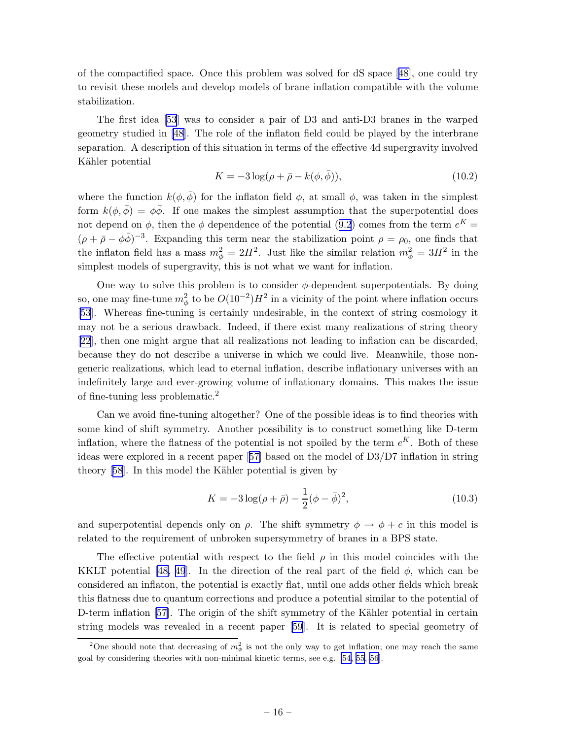of the compactified space. Once this problem was solved for dS space[[48\]](#page-22-0), one could try to revisit these models and develop models of brane inflation compatible with the volume stabilization.

The first idea [\[53](#page-22-0)] was to consider a pair of D3 and anti-D3 branes in the warped geometry studied in[[48\]](#page-22-0). The role of the inflaton field could be played by the interbrane separation. A description of this situation in terms of the effective 4d supergravity involved Kähler potential

$$
K = -3\log(\rho + \bar{\rho} - k(\phi, \bar{\phi})),\tag{10.2}
$$

where the function  $k(\phi, \bar{\phi})$  for the inflaton field  $\phi$ , at small  $\phi$ , was taken in the simplest form  $k(\phi, \bar{\phi}) = \phi \bar{\phi}$ . If one makes the simplest assumption that the superpotential does not depend on  $\phi$ , then the  $\phi$  dependence of the potential ([9.2](#page-13-0)) comes from the term  $e^K =$  $(\rho + \bar{\rho} - \phi \bar{\phi})^{-3}$ . Expanding this term near the stabilization point  $\rho = \rho_0$ , one finds that the inflaton field has a mass  $m_{\phi}^2 = 2H^2$ . Just like the similar relation  $m_{\phi}^2 = 3H^2$  in the simplest models of supergravity, this is not what we want for inflation.

One way to solve this problem is to consider  $\phi$ -dependent superpotentials. By doing so, one may fine-tune  $m_{\phi}^2$  to be  $O(10^{-2})H^2$  in a vicinity of the point where inflation occurs [\[53](#page-22-0)]. Whereas fine-tuning is certainly undesirable, in the context of string cosmology it may not be a serious drawback. Indeed, if there exist many realizations of string theory [\[22](#page-21-0)], then one might argue that all realizations not leading to inflation can be discarded, because they do not describe a universe in which we could live. Meanwhile, those nongeneric realizations, which lead to eternal inflation, describe inflationary universes with an indefinitely large and ever-growing volume of inflationary domains. This makes the issue of fine-tuning less problematic.<sup>2</sup>

Can we avoid fine-tuning altogether? One of the possible ideas is to find theories with some kind of shift symmetry. Another possibility is to construct something like D-term inflation, where the flatness of the potential is not spoiled by the term  $e^K$ . Both of these ideas were explored in a recent paper[[57\]](#page-23-0) based on the model of D3/D7 inflation in string theory[[58](#page-23-0)]. In this model the Kähler potential is given by

$$
K = -3\log(\rho + \bar{\rho}) - \frac{1}{2}(\phi - \bar{\phi})^2,
$$
\n(10.3)

and superpotential depends only on  $\rho$ . The shift symmetry  $\phi \to \phi + c$  in this model is related to the requirement of unbroken supersymmetry of branes in a BPS state.

The effective potential with respect to the field  $\rho$  in this model coincides with the KKLT potential [\[48, 49](#page-22-0)]. In the direction of the real part of the field  $\phi$ , which can be considered an inflaton, the potential is exactly flat, until one adds other fields which break this flatness due to quantum corrections and produce a potential similar to the potential of D-terminflation  $[57]$  $[57]$ . The origin of the shift symmetry of the Kähler potential in certain string models was revealed in a recent paper [\[59](#page-23-0)]. It is related to special geometry of

<sup>&</sup>lt;sup>2</sup>One should note that decreasing of  $m_{\phi}^2$  is not the only way to get inflation; one may reach the same goal by considering theories with non-minimal kinetic terms, see e.g. [\[54, 55](#page-22-0), [56](#page-22-0)].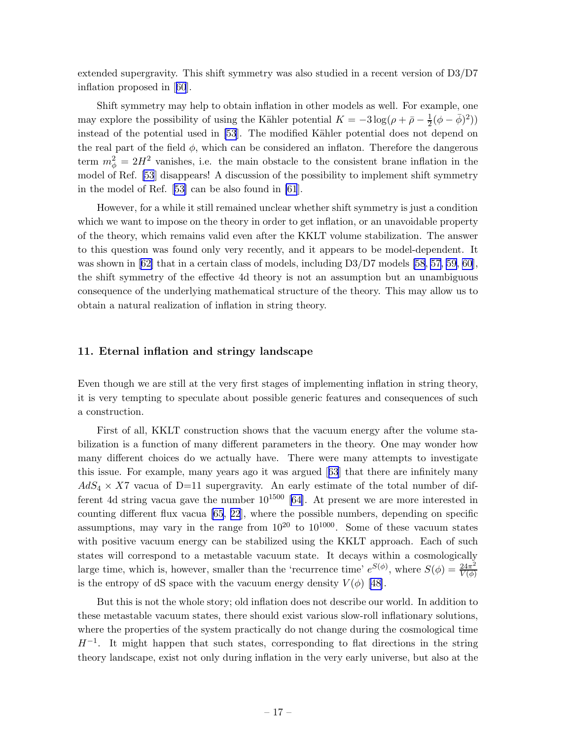<span id="page-17-0"></span>extended supergravity. This shift symmetry was also studied in a recent version of D3/D7 inflation proposed in[[60](#page-23-0)].

Shift symmetry may help to obtain inflation in other models as well. For example, one may explore the possibility of using the Kähler potential  $K = -3\log(\rho + \bar{\rho} - \frac{1}{2}(\phi - \bar{\phi})^2)$ instead of the potential used in [\[53](#page-22-0)]. The modified Kähler potential does not depend on the real part of the field  $\phi$ , which can be considered an inflaton. Therefore the dangerous term  $m_{\phi}^2 = 2H^2$  vanishes, i.e. the main obstacle to the consistent brane inflation in the model of Ref. [\[53](#page-22-0)] disappears! A discussion of the possibility to implement shift symmetry in the model of Ref.[[53\]](#page-22-0) can be also found in [\[61](#page-23-0)].

However, for a while it still remained unclear whether shift symmetry is just a condition which we want to impose on the theory in order to get inflation, or an unavoidable property of the theory, which remains valid even after the KKLT volume stabilization. The answer to this question was found only very recently, and it appears to be model-dependent. It wasshown in  $[62]$  $[62]$  $[62]$  that in a certain class of models, including D3/D7 models  $[58, 57, 59, 60]$  $[58, 57, 59, 60]$  $[58, 57, 59, 60]$  $[58, 57, 59, 60]$  $[58, 57, 59, 60]$  $[58, 57, 59, 60]$ , the shift symmetry of the effective 4d theory is not an assumption but an unambiguous consequence of the underlying mathematical structure of the theory. This may allow us to obtain a natural realization of inflation in string theory.

#### 11. Eternal inflation and stringy landscape

Even though we are still at the very first stages of implementing inflation in string theory, it is very tempting to speculate about possible generic features and consequences of such a construction.

First of all, KKLT construction shows that the vacuum energy after the volume stabilization is a function of many different parameters in the theory. One may wonder how many different choices do we actually have. There were many attempts to investigate this issue. For example, many years ago it was argued[[63](#page-23-0)] that there are infinitely many  $AdS_4 \times X7$  vacua of D=11 supergravity. An early estimate of the total number of different 4d string vacua gave the number  $10^{1500}$  [\[64](#page-23-0)]. At present we are more interested in counting different flux vacua [\[65](#page-23-0), [22](#page-21-0)], where the possible numbers, depending on specific assumptions, may vary in the range from  $10^{20}$  to  $10^{1000}$ . Some of these vacuum states with positive vacuum energy can be stabilized using the KKLT approach. Each of such states will correspond to a metastable vacuum state. It decays within a cosmologically large time, which is, however, smaller than the 'recurrence time'  $e^{S(\phi)}$ , where  $S(\phi) = \frac{24\pi^2}{V(\phi)}$  $V(\phi)$ is the entropy of dS space with the vacuum energy density  $V(\phi)$  [\[48](#page-22-0)].

But this is not the whole story; old inflation does not describe our world. In addition to these metastable vacuum states, there should exist various slow-roll inflationary solutions, where the properties of the system practically do not change during the cosmological time  $H^{-1}$ . It might happen that such states, corresponding to flat directions in the string theory landscape, exist not only during inflation in the very early universe, but also at the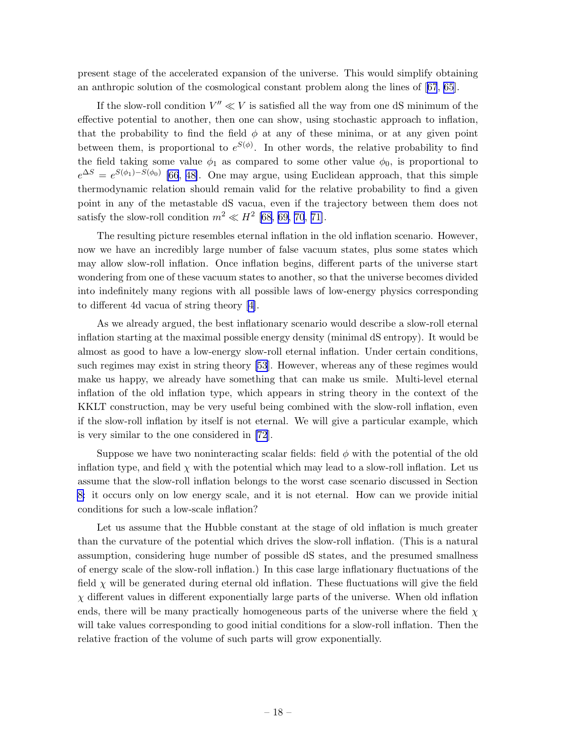present stage of the accelerated expansion of the universe. This would simplify obtaining an anthropic solution of the cosmological constant problem along the lines of[[67](#page-23-0), [65](#page-23-0)].

If the slow-roll condition  $V'' \ll V$  is satisfied all the way from one dS minimum of the effective potential to another, then one can show, using stochastic approach to inflation, that the probability to find the field  $\phi$  at any of these minima, or at any given point between them, is proportional to  $e^{S(\phi)}$ . In other words, the relative probability to find the field taking some value  $\phi_1$  as compared to some other value  $\phi_0$ , is proportional to  $e^{\Delta S} = e^{S(\phi_1)-S(\phi_0)}$  [\[66](#page-23-0), [48\]](#page-22-0). One may argue, using Euclidean approach, that this simple thermodynamic relation should remain valid for the relative probability to find a given point in any of the metastable dS vacua, even if the trajectory between them does not satisfy the slow-roll condition  $m^2 \ll H^2$  [\[68](#page-23-0), [69,](#page-23-0) [70](#page-24-0), [71\]](#page-24-0).

The resulting picture resembles eternal inflation in the old inflation scenario. However, now we have an incredibly large number of false vacuum states, plus some states which may allow slow-roll inflation. Once inflation begins, different parts of the universe start wondering from one of these vacuum states to another, so that the universe becomes divided into indefinitely many regions with all possible laws of low-energy physics corresponding to different 4d vacua of string theory [\[4\]](#page-19-0).

As we already argued, the best inflationary scenario would describe a slow-roll eternal inflation starting at the maximal possible energy density (minimal dS entropy). It would be almost as good to have a low-energy slow-roll eternal inflation. Under certain conditions, such regimes may exist in string theory [\[53](#page-22-0)]. However, whereas any of these regimes would make us happy, we already have something that can make us smile. Multi-level eternal inflation of the old inflation type, which appears in string theory in the context of the KKLT construction, may be very useful being combined with the slow-roll inflation, even if the slow-roll inflation by itself is not eternal. We will give a particular example, which is very similar to the one considered in [\[72](#page-24-0)].

Suppose we have two noninteracting scalar fields: field  $\phi$  with the potential of the old inflation type, and field  $\chi$  with the potential which may lead to a slow-roll inflation. Let us assume that the slow-roll inflation belongs to the worst case scenario discussed in Section [8:](#page-10-0) it occurs only on low energy scale, and it is not eternal. How can we provide initial conditions for such a low-scale inflation?

Let us assume that the Hubble constant at the stage of old inflation is much greater than the curvature of the potential which drives the slow-roll inflation. (This is a natural assumption, considering huge number of possible dS states, and the presumed smallness of energy scale of the slow-roll inflation.) In this case large inflationary fluctuations of the field  $\chi$  will be generated during eternal old inflation. These fluctuations will give the field  $\chi$  different values in different exponentially large parts of the universe. When old inflation ends, there will be many practically homogeneous parts of the universe where the field  $\chi$ will take values corresponding to good initial conditions for a slow-roll inflation. Then the relative fraction of the volume of such parts will grow exponentially.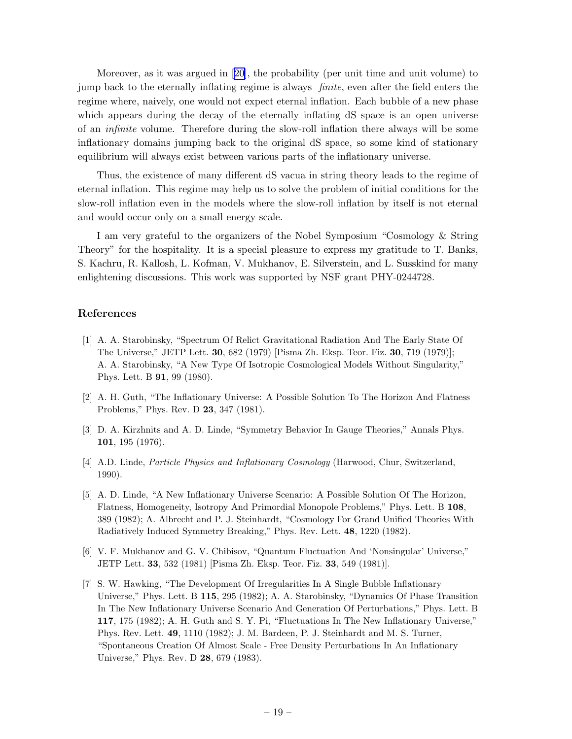<span id="page-19-0"></span>Moreover, as it was argued in[[20\]](#page-20-0), the probability (per unit time and unit volume) to jump back to the eternally inflating regime is always *finite*, even after the field enters the regime where, naively, one would not expect eternal inflation. Each bubble of a new phase which appears during the decay of the eternally inflating dS space is an open universe of an *infinite* volume. Therefore during the slow-roll inflation there always will be some inflationary domains jumping back to the original dS space, so some kind of stationary equilibrium will always exist between various parts of the inflationary universe.

Thus, the existence of many different dS vacua in string theory leads to the regime of eternal inflation. This regime may help us to solve the problem of initial conditions for the slow-roll inflation even in the models where the slow-roll inflation by itself is not eternal and would occur only on a small energy scale.

I am very grateful to the organizers of the Nobel Symposium "Cosmology & String Theory" for the hospitality. It is a special pleasure to express my gratitude to T. Banks, S. Kachru, R. Kallosh, L. Kofman, V. Mukhanov, E. Silverstein, and L. Susskind for many enlightening discussions. This work was supported by NSF grant PHY-0244728.

# References

- [1] A. A. Starobinsky, "Spectrum Of Relict Gravitational Radiation And The Early State Of The Universe," JETP Lett. 30, 682 (1979) [Pisma Zh. Eksp. Teor. Fiz. 30, 719 (1979)]; A. A. Starobinsky, "A New Type Of Isotropic Cosmological Models Without Singularity," Phys. Lett. B 91, 99 (1980).
- [2] A. H. Guth, "The Inflationary Universe: A Possible Solution To The Horizon And Flatness Problems," Phys. Rev. D 23, 347 (1981).
- [3] D. A. Kirzhnits and A. D. Linde, "Symmetry Behavior In Gauge Theories," Annals Phys. 101, 195 (1976).
- [4] A.D. Linde, *Particle Physics and Inflationary Cosmology* (Harwood, Chur, Switzerland, 1990).
- [5] A. D. Linde, "A New Inflationary Universe Scenario: A Possible Solution Of The Horizon, Flatness, Homogeneity, Isotropy And Primordial Monopole Problems," Phys. Lett. B 108, 389 (1982); A. Albrecht and P. J. Steinhardt, "Cosmology For Grand Unified Theories With Radiatively Induced Symmetry Breaking," Phys. Rev. Lett. 48, 1220 (1982).
- [6] V. F. Mukhanov and G. V. Chibisov, "Quantum Fluctuation And 'Nonsingular' Universe," JETP Lett. 33, 532 (1981) [Pisma Zh. Eksp. Teor. Fiz. 33, 549 (1981)].
- [7] S. W. Hawking, "The Development Of Irregularities In A Single Bubble Inflationary Universe," Phys. Lett. B 115, 295 (1982); A. A. Starobinsky, "Dynamics Of Phase Transition In The New Inflationary Universe Scenario And Generation Of Perturbations," Phys. Lett. B 117, 175 (1982); A. H. Guth and S. Y. Pi, "Fluctuations In The New Inflationary Universe," Phys. Rev. Lett. 49, 1110 (1982); J. M. Bardeen, P. J. Steinhardt and M. S. Turner, "Spontaneous Creation Of Almost Scale - Free Density Perturbations In An Inflationary Universe," Phys. Rev. D 28, 679 (1983).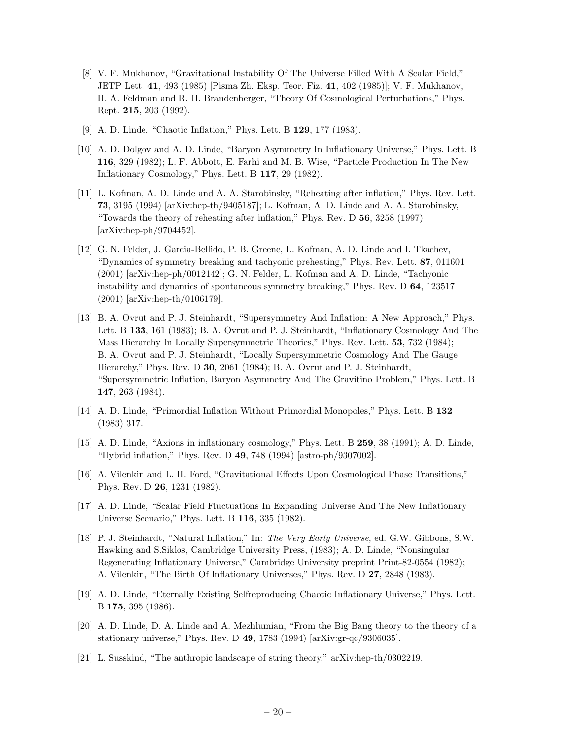- <span id="page-20-0"></span>[8] V. F. Mukhanov, "Gravitational Instability Of The Universe Filled With A Scalar Field," JETP Lett. 41, 493 (1985) [Pisma Zh. Eksp. Teor. Fiz. 41, 402 (1985)]; V. F. Mukhanov, H. A. Feldman and R. H. Brandenberger, "Theory Of Cosmological Perturbations," Phys. Rept. 215, 203 (1992).
- [9] A. D. Linde, "Chaotic Inflation," Phys. Lett. B 129, 177 (1983).
- [10] A. D. Dolgov and A. D. Linde, "Baryon Asymmetry In Inflationary Universe," Phys. Lett. B 116, 329 (1982); L. F. Abbott, E. Farhi and M. B. Wise, "Particle Production In The New Inflationary Cosmology," Phys. Lett. B 117, 29 (1982).
- [11] L. Kofman, A. D. Linde and A. A. Starobinsky, "Reheating after inflation," Phys. Rev. Lett. 73, 3195 (1994) [arXiv:hep-th/9405187]; L. Kofman, A. D. Linde and A. A. Starobinsky, "Towards the theory of reheating after inflation," Phys. Rev. D 56, 3258 (1997) [arXiv:hep-ph/9704452].
- [12] G. N. Felder, J. Garcia-Bellido, P. B. Greene, L. Kofman, A. D. Linde and I. Tkachev, "Dynamics of symmetry breaking and tachyonic preheating," Phys. Rev. Lett. 87, 011601 (2001) [arXiv:hep-ph/0012142]; G. N. Felder, L. Kofman and A. D. Linde, "Tachyonic instability and dynamics of spontaneous symmetry breaking," Phys. Rev. D 64, 123517 (2001) [arXiv:hep-th/0106179].
- [13] B. A. Ovrut and P. J. Steinhardt, "Supersymmetry And Inflation: A New Approach," Phys. Lett. B 133, 161 (1983); B. A. Ovrut and P. J. Steinhardt, "Inflationary Cosmology And The Mass Hierarchy In Locally Supersymmetric Theories," Phys. Rev. Lett. 53, 732 (1984); B. A. Ovrut and P. J. Steinhardt, "Locally Supersymmetric Cosmology And The Gauge Hierarchy," Phys. Rev. D 30, 2061 (1984); B. A. Ovrut and P. J. Steinhardt, "Supersymmetric Inflation, Baryon Asymmetry And The Gravitino Problem," Phys. Lett. B 147, 263 (1984).
- [14] A. D. Linde, "Primordial Inflation Without Primordial Monopoles," Phys. Lett. B 132 (1983) 317.
- [15] A. D. Linde, "Axions in inflationary cosmology," Phys. Lett. B 259, 38 (1991); A. D. Linde, "Hybrid inflation," Phys. Rev. D 49, 748 (1994) [astro-ph/9307002].
- [16] A. Vilenkin and L. H. Ford, "Gravitational Effects Upon Cosmological Phase Transitions," Phys. Rev. D 26, 1231 (1982).
- [17] A. D. Linde, "Scalar Field Fluctuations In Expanding Universe And The New Inflationary Universe Scenario," Phys. Lett. B 116, 335 (1982).
- [18] P. J. Steinhardt, "Natural Inflation," In: *The Very Early Universe*, ed. G.W. Gibbons, S.W. Hawking and S.Siklos, Cambridge University Press, (1983); A. D. Linde, "Nonsingular Regenerating Inflationary Universe," Cambridge University preprint Print-82-0554 (1982); A. Vilenkin, "The Birth Of Inflationary Universes," Phys. Rev. D 27, 2848 (1983).
- [19] A. D. Linde, "Eternally Existing Selfreproducing Chaotic Inflationary Universe," Phys. Lett. B 175, 395 (1986).
- [20] A. D. Linde, D. A. Linde and A. Mezhlumian, "From the Big Bang theory to the theory of a stationary universe," Phys. Rev. D 49, 1783 (1994)  $arXiv:gr-qc/9306035$ .
- [21] L. Susskind, "The anthropic landscape of string theory," arXiv:hep-th/0302219.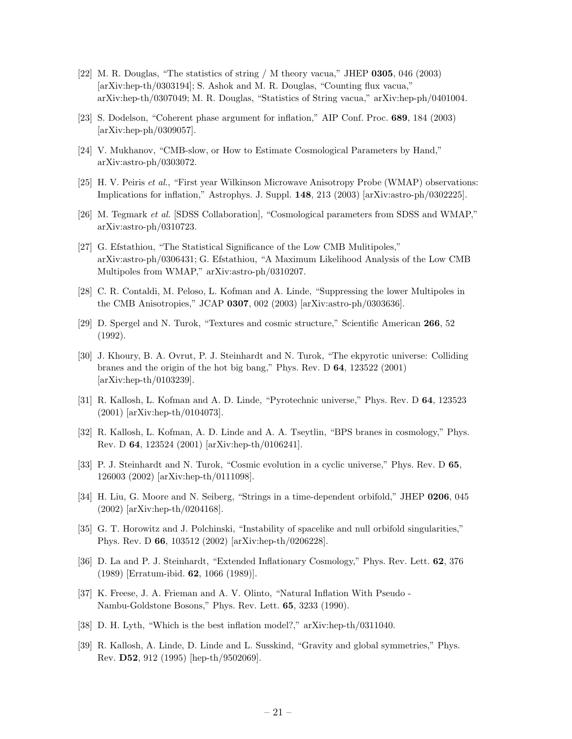- <span id="page-21-0"></span>[22] M. R. Douglas, "The statistics of string / M theory vacua," JHEP 0305, 046 (2003) [arXiv:hep-th/0303194]; S. Ashok and M. R. Douglas, "Counting flux vacua," arXiv:hep-th/0307049; M. R. Douglas, "Statistics of String vacua," arXiv:hep-ph/0401004.
- [23] S. Dodelson, "Coherent phase argument for inflation," AIP Conf. Proc. 689, 184 (2003) [arXiv:hep-ph/0309057].
- [24] V. Mukhanov, "CMB-slow, or How to Estimate Cosmological Parameters by Hand," arXiv:astro-ph/0303072.
- [25] H. V. Peiris *et al.*, "First year Wilkinson Microwave Anisotropy Probe (WMAP) observations: Implications for inflation," Astrophys. J. Suppl. 148, 213 (2003) [arXiv:astro-ph/0302225].
- [26] M. Tegmark *et al.* [SDSS Collaboration], "Cosmological parameters from SDSS and WMAP," arXiv:astro-ph/0310723.
- [27] G. Efstathiou, "The Statistical Significance of the Low CMB Mulitipoles," arXiv:astro-ph/0306431; G. Efstathiou, "A Maximum Likelihood Analysis of the Low CMB Multipoles from WMAP," arXiv:astro-ph/0310207.
- [28] C. R. Contaldi, M. Peloso, L. Kofman and A. Linde, "Suppressing the lower Multipoles in the CMB Anisotropies," JCAP 0307, 002 (2003) [arXiv:astro-ph/0303636].
- [29] D. Spergel and N. Turok, "Textures and cosmic structure," Scientific American 266, 52 (1992).
- [30] J. Khoury, B. A. Ovrut, P. J. Steinhardt and N. Turok, "The ekpyrotic universe: Colliding branes and the origin of the hot big bang," Phys. Rev. D 64, 123522 (2001) [arXiv:hep-th/0103239].
- [31] R. Kallosh, L. Kofman and A. D. Linde, "Pyrotechnic universe," Phys. Rev. D 64, 123523 (2001) [arXiv:hep-th/0104073].
- [32] R. Kallosh, L. Kofman, A. D. Linde and A. A. Tseytlin, "BPS branes in cosmology," Phys. Rev. D 64, 123524 (2001) [arXiv:hep-th/0106241].
- [33] P. J. Steinhardt and N. Turok, "Cosmic evolution in a cyclic universe," Phys. Rev. D 65, 126003 (2002) [arXiv:hep-th/0111098].
- [34] H. Liu, G. Moore and N. Seiberg, "Strings in a time-dependent orbifold," JHEP 0206, 045 (2002) [arXiv:hep-th/0204168].
- [35] G. T. Horowitz and J. Polchinski, "Instability of spacelike and null orbifold singularities," Phys. Rev. D 66, 103512 (2002) [arXiv:hep-th/0206228].
- [36] D. La and P. J. Steinhardt, "Extended Inflationary Cosmology," Phys. Rev. Lett. 62, 376 (1989) [Erratum-ibid. 62, 1066 (1989)].
- [37] K. Freese, J. A. Frieman and A. V. Olinto, "Natural Inflation With Pseudo Nambu-Goldstone Bosons," Phys. Rev. Lett. 65, 3233 (1990).
- [38] D. H. Lyth, "Which is the best inflation model?," arXiv:hep-th/0311040.
- [39] R. Kallosh, A. Linde, D. Linde and L. Susskind, "Gravity and global symmetries," Phys. Rev. D52, 912 (1995) [hep-th/9502069].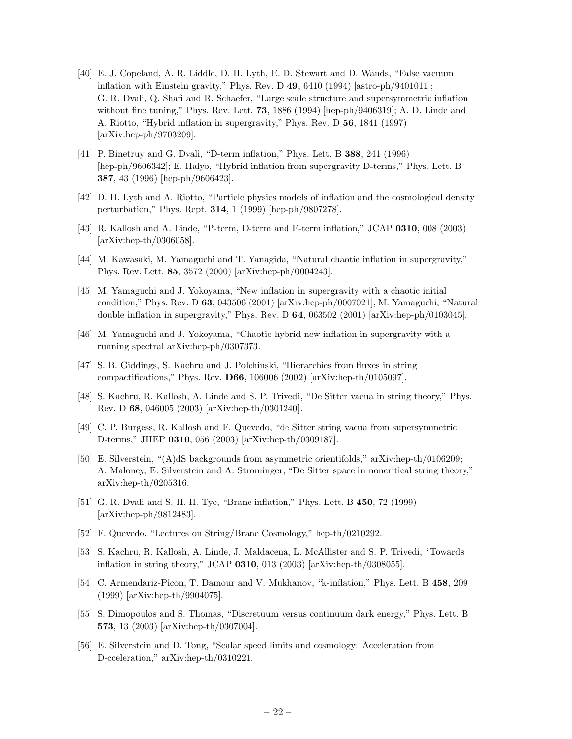- <span id="page-22-0"></span>[40] E. J. Copeland, A. R. Liddle, D. H. Lyth, E. D. Stewart and D. Wands, "False vacuum inflation with Einstein gravity," Phys. Rev. D  $49, 6410$  (1994) [astro-ph/9401011]; G. R. Dvali, Q. Shafi and R. Schaefer, "Large scale structure and supersymmetric inflation without fine tuning," Phys. Rev. Lett. **73**, 1886 (1994) [hep-ph/9406319]; A. D. Linde and A. Riotto, "Hybrid inflation in supergravity," Phys. Rev. D 56, 1841 (1997) [arXiv:hep-ph/9703209].
- [41] P. Binetruy and G. Dvali, "D-term inflation," Phys. Lett. B 388, 241 (1996) [hep-ph/9606342]; E. Halyo, "Hybrid inflation from supergravity D-terms," Phys. Lett. B 387, 43 (1996) [hep-ph/9606423].
- [42] D. H. Lyth and A. Riotto, "Particle physics models of inflation and the cosmological density perturbation," Phys. Rept. 314, 1 (1999) [hep-ph/9807278].
- [43] R. Kallosh and A. Linde, "P-term, D-term and F-term inflation," JCAP 0310, 008 (2003) [arXiv:hep-th/0306058].
- [44] M. Kawasaki, M. Yamaguchi and T. Yanagida, "Natural chaotic inflation in supergravity," Phys. Rev. Lett. 85, 3572 (2000) [arXiv:hep-ph/0004243].
- [45] M. Yamaguchi and J. Yokoyama, "New inflation in supergravity with a chaotic initial condition," Phys. Rev. D 63, 043506 (2001) [arXiv:hep-ph/0007021]; M. Yamaguchi, "Natural double inflation in supergravity," Phys. Rev. D  $64$ , 063502 (2001) [arXiv:hep-ph/0103045].
- [46] M. Yamaguchi and J. Yokoyama, "Chaotic hybrid new inflation in supergravity with a running spectral arXiv:hep-ph/0307373.
- [47] S. B. Giddings, S. Kachru and J. Polchinski, "Hierarchies from fluxes in string compactifications," Phys. Rev. D66, 106006 (2002) [arXiv:hep-th/0105097].
- [48] S. Kachru, R. Kallosh, A. Linde and S. P. Trivedi, "De Sitter vacua in string theory," Phys. Rev. D 68, 046005 (2003) [arXiv:hep-th/0301240].
- [49] C. P. Burgess, R. Kallosh and F. Quevedo, "de Sitter string vacua from supersymmetric D-terms," JHEP 0310, 056 (2003) [arXiv:hep-th/0309187].
- [50] E. Silverstein, "(A)dS backgrounds from asymmetric orientifolds," arXiv:hep-th/0106209; A. Maloney, E. Silverstein and A. Strominger, "De Sitter space in noncritical string theory," arXiv:hep-th/0205316.
- [51] G. R. Dvali and S. H. H. Tye, "Brane inflation," Phys. Lett. B 450, 72 (1999) [arXiv:hep-ph/9812483].
- [52] F. Quevedo, "Lectures on String/Brane Cosmology," hep-th/0210292.
- [53] S. Kachru, R. Kallosh, A. Linde, J. Maldacena, L. McAllister and S. P. Trivedi, "Towards inflation in string theory," JCAP 0310, 013 (2003) [arXiv:hep-th/0308055].
- [54] C. Armendariz-Picon, T. Damour and V. Mukhanov, "k-inflation," Phys. Lett. B 458, 209 (1999) [arXiv:hep-th/9904075].
- [55] S. Dimopoulos and S. Thomas, "Discretuum versus continuum dark energy," Phys. Lett. B 573, 13 (2003) [arXiv:hep-th/0307004].
- [56] E. Silverstein and D. Tong, "Scalar speed limits and cosmology: Acceleration from D-cceleration," arXiv:hep-th/0310221.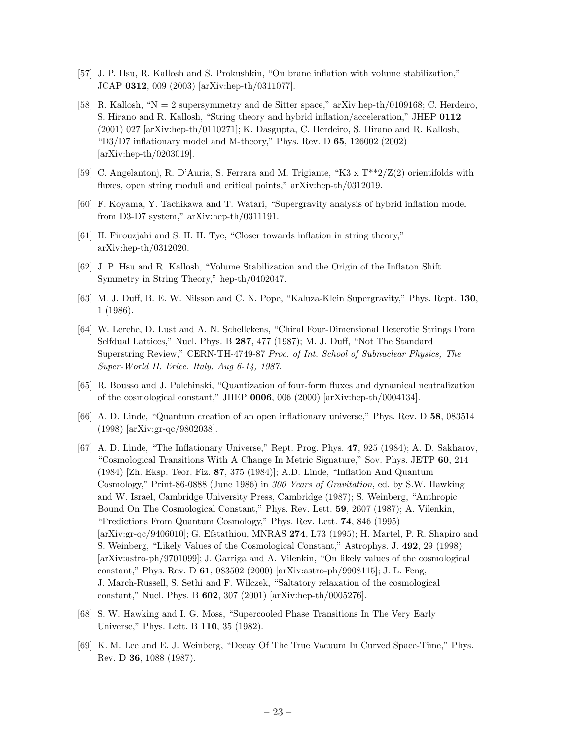- <span id="page-23-0"></span>[57] J. P. Hsu, R. Kallosh and S. Prokushkin, "On brane inflation with volume stabilization," JCAP 0312, 009 (2003) [arXiv:hep-th/0311077].
- [58] R. Kallosh, "N = 2 supersymmetry and de Sitter space," arXiv:hep-th/0109168; C. Herdeiro, S. Hirano and R. Kallosh, "String theory and hybrid inflation/acceleration," JHEP 0112 (2001) 027 [arXiv:hep-th/0110271]; K. Dasgupta, C. Herdeiro, S. Hirano and R. Kallosh, "D3/D7 inflationary model and M-theory," Phys. Rev. D 65, 126002 (2002) [arXiv:hep-th/0203019].
- [59] C. Angelantonj, R. D'Auria, S. Ferrara and M. Trigiante, "K3 x T\*\*2/Z(2) orientifolds with fluxes, open string moduli and critical points," arXiv:hep-th/0312019.
- [60] F. Koyama, Y. Tachikawa and T. Watari, "Supergravity analysis of hybrid inflation model from D3-D7 system," arXiv:hep-th/0311191.
- [61] H. Firouzjahi and S. H. H. Tye, "Closer towards inflation in string theory," arXiv:hep-th/0312020.
- [62] J. P. Hsu and R. Kallosh, "Volume Stabilization and the Origin of the Inflaton Shift Symmetry in String Theory," hep-th/0402047.
- [63] M. J. Duff, B. E. W. Nilsson and C. N. Pope, "Kaluza-Klein Supergravity," Phys. Rept. 130, 1 (1986).
- [64] W. Lerche, D. Lust and A. N. Schellekens, "Chiral Four-Dimensional Heterotic Strings From Selfdual Lattices," Nucl. Phys. B 287, 477 (1987); M. J. Duff, "Not The Standard Superstring Review," CERN-TH-4749-87 *Proc. of Int. School of Subnuclear Physics, The Super-World II, Erice, Italy, Aug 6-14, 1987*.
- [65] R. Bousso and J. Polchinski, "Quantization of four-form fluxes and dynamical neutralization of the cosmological constant," JHEP 0006, 006 (2000) [arXiv:hep-th/0004134].
- [66] A. D. Linde, "Quantum creation of an open inflationary universe," Phys. Rev. D 58, 083514 (1998) [arXiv:gr-qc/9802038].
- [67] A. D. Linde, "The Inflationary Universe," Rept. Prog. Phys. 47, 925 (1984); A. D. Sakharov, "Cosmological Transitions With A Change In Metric Signature," Sov. Phys. JETP 60, 214 (1984) [Zh. Eksp. Teor. Fiz. 87, 375 (1984)]; A.D. Linde, "Inflation And Quantum Cosmology," Print-86-0888 (June 1986) in *300 Years of Gravitation*, ed. by S.W. Hawking and W. Israel, Cambridge University Press, Cambridge (1987); S. Weinberg, "Anthropic Bound On The Cosmological Constant," Phys. Rev. Lett. 59, 2607 (1987); A. Vilenkin, "Predictions From Quantum Cosmology," Phys. Rev. Lett. 74, 846 (1995) [arXiv:gr-qc/9406010]; G. Efstathiou, MNRAS 274, L73 (1995); H. Martel, P. R. Shapiro and S. Weinberg, "Likely Values of the Cosmological Constant," Astrophys. J. 492, 29 (1998) [arXiv:astro-ph/9701099]; J. Garriga and A. Vilenkin, "On likely values of the cosmological constant," Phys. Rev. D 61, 083502 (2000) [arXiv:astro-ph/9908115]; J. L. Feng, J. March-Russell, S. Sethi and F. Wilczek, "Saltatory relaxation of the cosmological constant," Nucl. Phys. B 602, 307 (2001) [arXiv:hep-th/0005276].
- [68] S. W. Hawking and I. G. Moss, "Supercooled Phase Transitions In The Very Early Universe," Phys. Lett. B 110, 35 (1982).
- [69] K. M. Lee and E. J. Weinberg, "Decay Of The True Vacuum In Curved Space-Time," Phys. Rev. D 36, 1088 (1987).